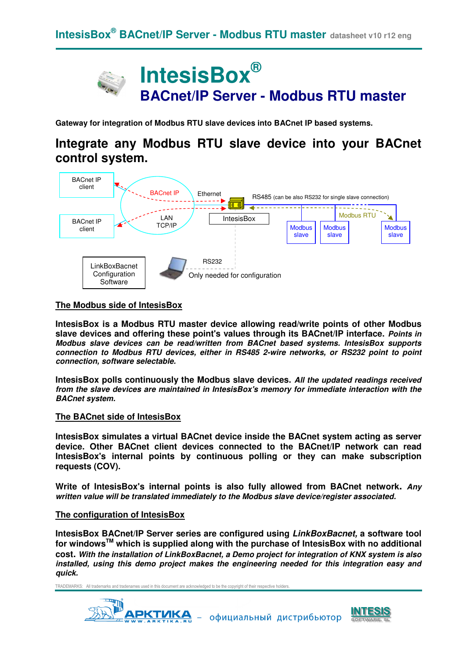

**Gateway for integration of Modbus RTU slave devices into BACnet IP based systems.** 

# **Integrate any Modbus RTU slave device into your BACnet control system.**



### **The Modbus side of IntesisBox**

**IntesisBox is a Modbus RTU master device allowing read/write points of other Modbus slave devices and offering these point's values through its BACnet/IP interface. Points in Modbus slave devices can be read/written from BACnet based systems. IntesisBox supports connection to Modbus RTU devices, either in RS485 2-wire networks, or RS232 point to point connection, software selectable.** 

**IntesisBox polls continuously the Modbus slave devices. All the updated readings received from the slave devices are maintained in IntesisBox's memory for immediate interaction with the BACnet system.** 

#### **The BACnet side of IntesisBox**

**IntesisBox simulates a virtual BACnet device inside the BACnet system acting as server device. Other BACnet client devices connected to the BACnet/IP network can read IntesisBox's internal points by continuous polling or they can make subscription requests (COV).** 

**Write of IntesisBox's internal points is also fully allowed from BACnet network. Any written value will be translated immediately to the Modbus slave device/register associated.** 

#### **The configuration of IntesisBox**

**IntesisBox BACnet/IP Server series are configured using LinkBoxBacnet, a software tool for windowsTM which is supplied along with the purchase of IntesisBox with no additional cost. With the installation of LinkBoxBacnet, a Demo project for integration of KNX system is also installed, using this demo project makes the engineering needed for this integration easy and quick.**



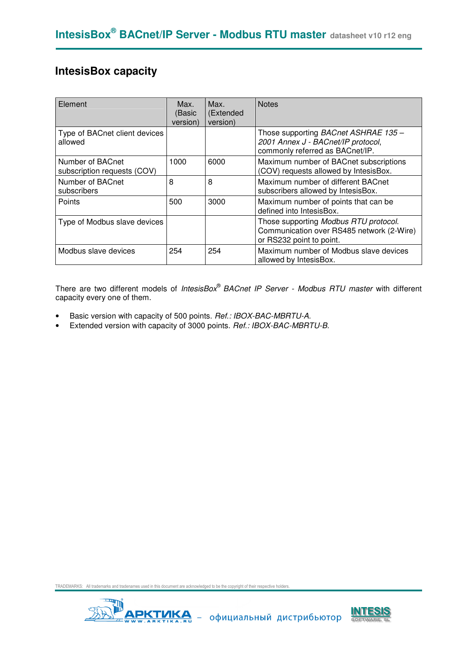## **IntesisBox capacity**

| Element                                         | Max.<br>(Basic<br>version) | Max.<br>(Extended<br>version) | <b>Notes</b>                                                                                                   |
|-------------------------------------------------|----------------------------|-------------------------------|----------------------------------------------------------------------------------------------------------------|
| Type of BACnet client devices<br>allowed        |                            |                               | Those supporting BACnet ASHRAE 135 -<br>2001 Annex J - BACnet/IP protocol,<br>commonly referred as BACnet/IP.  |
| Number of BACnet<br>subscription requests (COV) | 1000                       | 6000                          | Maximum number of BACnet subscriptions<br>(COV) requests allowed by IntesisBox.                                |
| Number of BACnet<br>subscribers                 | 8                          | 8                             | Maximum number of different BACnet<br>subscribers allowed by IntesisBox.                                       |
| Points                                          | 500                        | 3000                          | Maximum number of points that can be<br>defined into IntesisBox.                                               |
| Type of Modbus slave devices                    |                            |                               | Those supporting Modbus RTU protocol.<br>Communication over RS485 network (2-Wire)<br>or RS232 point to point. |
| Modbus slave devices                            | 254                        | 254                           | Maximum number of Modbus slave devices<br>allowed by IntesisBox.                                               |

There are two different models of IntesisBox® BACnet IP Server - Modbus RTU master with different capacity every one of them.

- Basic version with capacity of 500 points. Ref.: IBOX-BAC-MBRTU-A.
- Extended version with capacity of 3000 points. Ref.: IBOX-BAC-MBRTU-B.



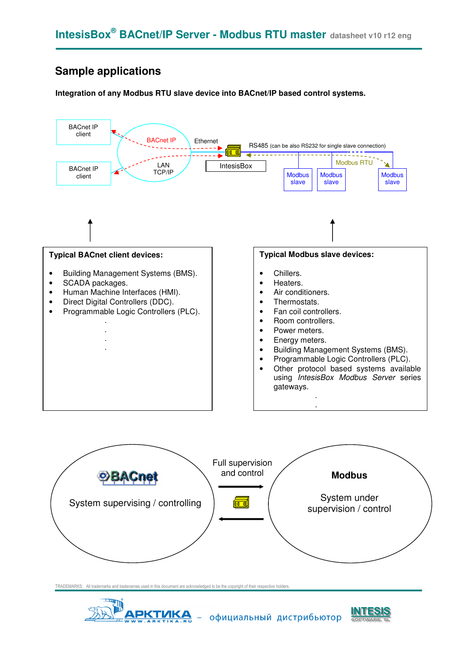# **Sample applications**

**Integration of any Modbus RTU slave device into BACnet/IP based control systems.** 







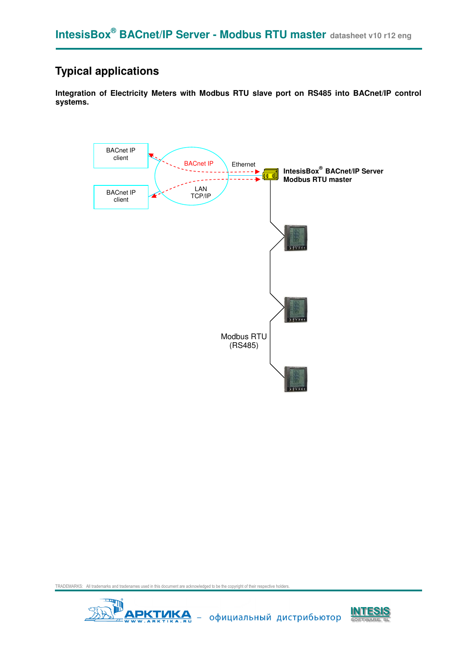# **Typical applications**

**Integration of Electricity Meters with Modbus RTU slave port on RS485 into BACnet/IP control systems.** 





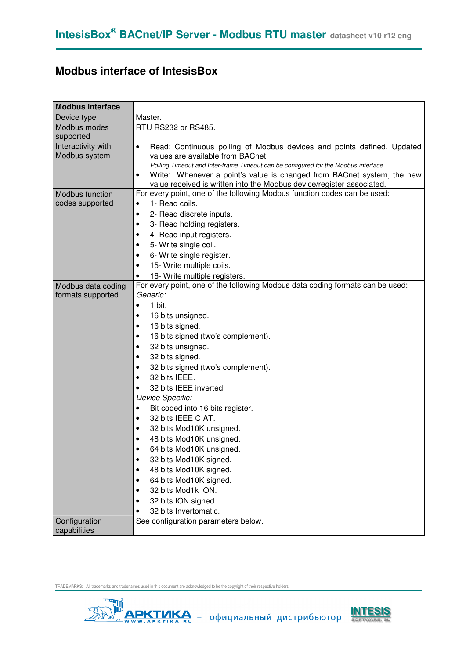## **Modbus interface of IntesisBox**

| <b>Modbus interface</b>             |                                                                                                                          |
|-------------------------------------|--------------------------------------------------------------------------------------------------------------------------|
| Device type                         | Master.                                                                                                                  |
| Modbus modes<br>supported           | RTU RS232 or RS485.                                                                                                      |
| Interactivity with<br>Modbus system | Read: Continuous polling of Modbus devices and points defined. Updated<br>$\bullet$<br>values are available from BACnet. |
|                                     | Polling Timeout and Inter-frame Timeout can be configured for the Modbus interface.                                      |
|                                     | Write: Whenever a point's value is changed from BACnet system, the new                                                   |
|                                     | value received is written into the Modbus device/register associated.                                                    |
| Modbus function                     | For every point, one of the following Modbus function codes can be used:                                                 |
| codes supported                     | 1- Read coils.<br>$\bullet$                                                                                              |
|                                     | 2- Read discrete inputs.<br>٠                                                                                            |
|                                     | 3- Read holding registers.<br>٠                                                                                          |
|                                     | 4- Read input registers.<br>٠                                                                                            |
|                                     | 5- Write single coil.<br>٠                                                                                               |
|                                     | 6- Write single register.<br>٠                                                                                           |
|                                     | 15- Write multiple coils.<br>٠                                                                                           |
|                                     | 16- Write multiple registers.<br>٠                                                                                       |
| Modbus data coding                  | For every point, one of the following Modbus data coding formats can be used:                                            |
| formats supported                   | Generic:                                                                                                                 |
|                                     | 1 bit.<br>$\bullet$                                                                                                      |
|                                     | 16 bits unsigned.                                                                                                        |
|                                     | 16 bits signed.<br>٠                                                                                                     |
|                                     | 16 bits signed (two's complement).<br>٠                                                                                  |
|                                     | 32 bits unsigned.<br>٠                                                                                                   |
|                                     | 32 bits signed.<br>٠                                                                                                     |
|                                     | 32 bits signed (two's complement).<br>٠                                                                                  |
|                                     | 32 bits IEEE.<br>$\bullet$                                                                                               |
|                                     | 32 bits IEEE inverted.<br>$\bullet$                                                                                      |
|                                     | Device Specific:                                                                                                         |
|                                     | Bit coded into 16 bits register.<br>٠                                                                                    |
|                                     | 32 bits IEEE CIAT.<br>$\bullet$                                                                                          |
|                                     | 32 bits Mod10K unsigned.<br>٠                                                                                            |
|                                     | 48 bits Mod10K unsigned.<br>٠                                                                                            |
|                                     | 64 bits Mod10K unsigned.<br>٠                                                                                            |
|                                     | 32 bits Mod10K signed.<br>$\bullet$                                                                                      |
|                                     | 48 bits Mod10K signed.<br>$\bullet$                                                                                      |
|                                     | 64 bits Mod10K signed.<br>$\bullet$                                                                                      |
|                                     | 32 bits Mod1k ION.<br>$\bullet$                                                                                          |
|                                     | 32 bits ION signed.<br>$\bullet$                                                                                         |
|                                     | 32 bits Invertomatic.                                                                                                    |
| Configuration                       | See configuration parameters below.                                                                                      |
| capabilities                        |                                                                                                                          |



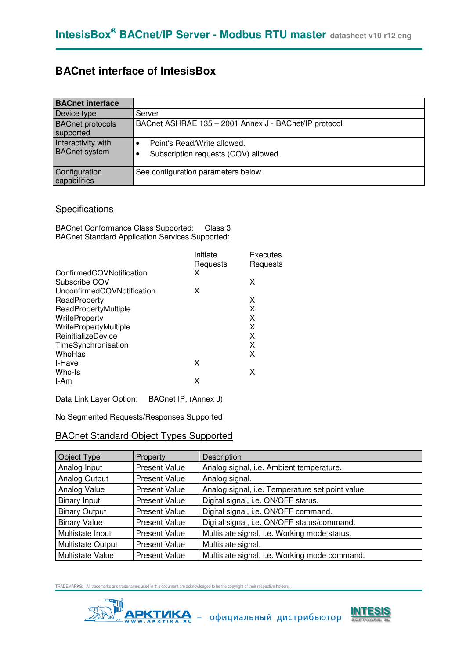## **BACnet interface of IntesisBox**

| <b>BACnet interface</b>                    |                                                                     |
|--------------------------------------------|---------------------------------------------------------------------|
| Device type                                | Server                                                              |
| <b>BACnet protocols</b><br>supported       | BACnet ASHRAE 135 - 2001 Annex J - BACnet/IP protocol               |
| Interactivity with<br><b>BACnet system</b> | Point's Read/Write allowed.<br>Subscription requests (COV) allowed. |
| Configuration<br>capabilities              | See configuration parameters below.                                 |

### **Specifications**

BACnet Conformance Class Supported: Class 3 BACnet Standard Application Services Supported:

|                            | Initiate<br>Requests | Executes<br>Requests |
|----------------------------|----------------------|----------------------|
| ConfirmedCOVNotification   | x                    |                      |
| Subscribe COV              |                      | х                    |
| UnconfirmedCOVNotification | х                    |                      |
| ReadProperty               |                      | х                    |
| ReadPropertyMultiple       |                      | X                    |
| <b>WriteProperty</b>       |                      | X                    |
| WritePropertyMultiple      |                      | X                    |
| ReinitializeDevice         |                      | X                    |
| TimeSynchronisation        |                      | X                    |
| WhoHas                     |                      | x                    |
| I-Have                     | х                    |                      |
| Who-Is                     |                      | X                    |
| I-Am                       | х                    |                      |

Data Link Layer Option: BACnet IP, (Annex J)

No Segmented Requests/Responses Supported

### BACnet Standard Object Types Supported

| Object Type              | Property             | Description                                      |
|--------------------------|----------------------|--------------------------------------------------|
| Analog Input             | <b>Present Value</b> | Analog signal, i.e. Ambient temperature.         |
| Analog Output            | <b>Present Value</b> | Analog signal.                                   |
| Analog Value             | <b>Present Value</b> | Analog signal, i.e. Temperature set point value. |
| <b>Binary Input</b>      | <b>Present Value</b> | Digital signal, i.e. ON/OFF status.              |
| <b>Binary Output</b>     | <b>Present Value</b> | Digital signal, i.e. ON/OFF command.             |
| <b>Binary Value</b>      | <b>Present Value</b> | Digital signal, i.e. ON/OFF status/command.      |
| Multistate Input         | <b>Present Value</b> | Multistate signal, i.e. Working mode status.     |
| <b>Multistate Output</b> | <b>Present Value</b> | Multistate signal.                               |
| <b>Multistate Value</b>  | <b>Present Value</b> | Multistate signal, i.e. Working mode command.    |



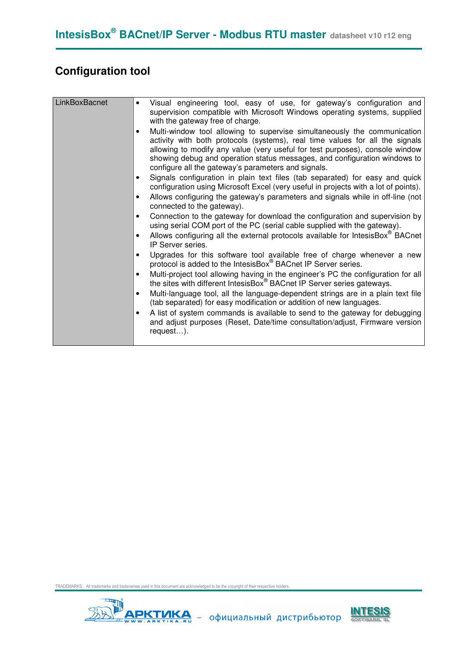# **Configuration tool**

| LinkBoxBacnet | Visual engineering tool, easy of use, for gateway's configuration and<br>$\bullet$<br>supervision compatible with Microsoft Windows operating systems, supplied<br>with the gateway free of charge.<br>Multi-window tool allowing to supervise simultaneously the communication<br>activity with both protocols (systems), real time values for all the signals<br>allowing to modify any value (very useful for test purposes), console window<br>showing debug and operation status messages, and configuration windows to<br>configure all the gateway's parameters and signals.<br>Signals configuration in plain text files (tab separated) for easy and quick<br>configuration using Microsoft Excel (very useful in projects with a lot of points).<br>Allows configuring the gateway's parameters and signals while in off-line (not<br>$\bullet$<br>connected to the gateway).<br>Connection to the gateway for download the configuration and supervision by<br>using serial COM port of the PC (serial cable supplied with the gateway).<br>Allows configuring all the external protocols available for IntesisBox <sup>®</sup> BACnet<br>IP Server series.<br>Upgrades for this software tool available free of charge whenever a new<br>protocol is added to the IntesisBox® BACnet IP Server series.<br>Multi-project tool allowing having in the engineer's PC the configuration for all<br>$\bullet$<br>the sites with different IntesisBox <sup>®</sup> BACnet IP Server series gateways.<br>Multi-language tool, all the language-dependent strings are in a plain text file<br>(tab separated) for easy modification or addition of new languages.<br>A list of system commands is available to send to the gateway for debugging |
|---------------|------------------------------------------------------------------------------------------------------------------------------------------------------------------------------------------------------------------------------------------------------------------------------------------------------------------------------------------------------------------------------------------------------------------------------------------------------------------------------------------------------------------------------------------------------------------------------------------------------------------------------------------------------------------------------------------------------------------------------------------------------------------------------------------------------------------------------------------------------------------------------------------------------------------------------------------------------------------------------------------------------------------------------------------------------------------------------------------------------------------------------------------------------------------------------------------------------------------------------------------------------------------------------------------------------------------------------------------------------------------------------------------------------------------------------------------------------------------------------------------------------------------------------------------------------------------------------------------------------------------------------------------------------------------------------------------------------------------------------------------------------|
|               | and adjust purposes (Reset, Date/time consultation/adjust, Firmware version<br>request).                                                                                                                                                                                                                                                                                                                                                                                                                                                                                                                                                                                                                                                                                                                                                                                                                                                                                                                                                                                                                                                                                                                                                                                                                                                                                                                                                                                                                                                                                                                                                                                                                                                             |



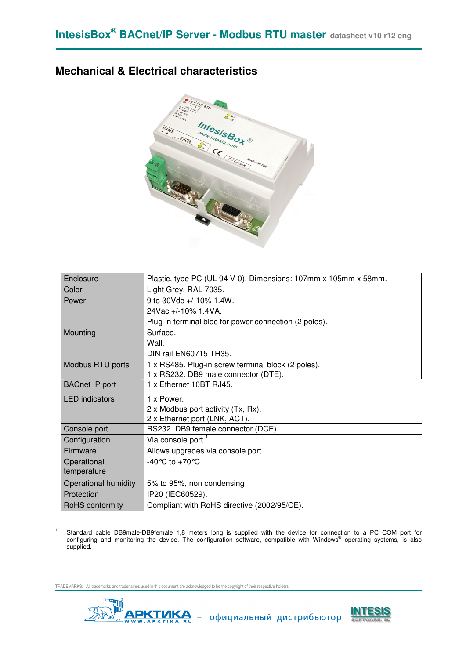### **Mechanical & Electrical characteristics**



| Enclosure             | Plastic, type PC (UL 94 V-0). Dimensions: 107mm x 105mm x 58mm. |
|-----------------------|-----------------------------------------------------------------|
| Color                 | Light Grey. RAL 7035.                                           |
| Power                 | 9 to 30Vdc +/-10% 1.4W.                                         |
|                       | 24Vac +/-10% 1.4VA.                                             |
|                       | Plug-in terminal bloc for power connection (2 poles).           |
| Mounting              | Surface.                                                        |
|                       | Wall.                                                           |
|                       | DIN rail EN60715 TH35.                                          |
| Modbus RTU ports      | 1 x RS485. Plug-in screw terminal block (2 poles).              |
|                       | 1 x RS232. DB9 male connector (DTE).                            |
| <b>BACnet IP port</b> | 1 x Ethernet 10BT RJ45.                                         |
| <b>LED</b> indicators | 1 x Power.                                                      |
|                       | 2 x Modbus port activity (Tx, Rx).                              |
|                       | 2 x Ethernet port (LNK, ACT).                                   |
| Console port          | RS232. DB9 female connector (DCE).                              |
| Configuration         | Via console port. <sup>1</sup>                                  |
| Firmware              | Allows upgrades via console port.                               |
| Operational           | -40 °C to +70 °C                                                |
| temperature           |                                                                 |
| Operational humidity  | 5% to 95%, non condensing                                       |
| Protection            | IP20 (IEC60529).                                                |
| RoHS conformity       | Compliant with RoHS directive (2002/95/CE).                     |

1 Standard cable DB9male-DB9female 1,8 meters long is supplied with the device for connection to a PC COM port for<br>configuring and monitoring the device. The configuration software, compatible with Windows® operating systems supplied.